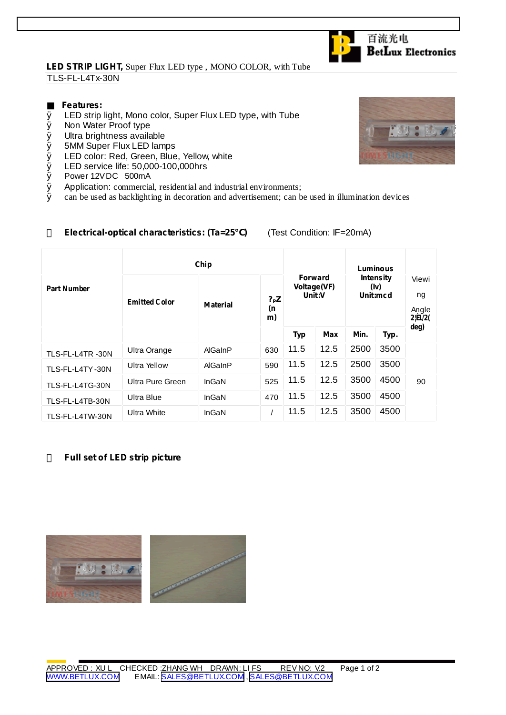## **LED STRIP LIGHT,** Super Flux LED type , MONO COLOR, with Tube TLS-FL-L4Tx-30N

## **Features:**

- Ø LED strip light, Mono color, Super Flux LED type, with Tube
- Ø Non Water Proof type
- Ø Ultra brightness available
- Ø 5MM Super Flux LED lamps
- Ø LED color: Red, Green, Blue, Yellow, white
- Ø LED service life: 50,000-100,000hrs
- Ø Power 12VDC 500mA
- $\emptyset$  Application: commercial, residential and industrial environments;<br> $\emptyset$  can be used as backlighting in decoration and advertisement: can b
- Ø can be used as backlighting in decoration and advertisement; can be used in illumination devices

|                    | Chip                 |                 |                       |                                         |      | Luminous                             |      |                                        |
|--------------------|----------------------|-----------------|-----------------------|-----------------------------------------|------|--------------------------------------|------|----------------------------------------|
| <b>Part Number</b> | <b>Emitted Color</b> | <b>Material</b> | $?$ P $Z$<br>(n<br>m) | <b>Forward</b><br>Voltage(VF)<br>Unit:V |      | <b>Intensity</b><br>(iv)<br>Unit:mcd |      | Viewi<br>ng<br>Angle<br>$2 {\bf B}/2($ |
|                    |                      |                 |                       | <b>Typ</b>                              | Max  | Min.                                 | Typ. | deg)                                   |
| TLS-FL-L4TR-30N    | Ultra Orange         | AlGaInP         | 630                   | 11.5                                    | 12.5 | 2500                                 | 3500 |                                        |
| TLS-FL-L4TY-30N    | Ultra Yellow         | AlGaInP         | 590                   | 11.5                                    | 12.5 | 2500                                 | 3500 |                                        |
| TLS-FL-L4TG-30N    | Ultra Pure Green     | InGaN           | 525                   | 11.5                                    | 12.5 | 3500                                 | 4500 | 90                                     |
| TLS-FL-L4TB-30N    | Ultra Blue           | InGaN           | 470                   | 11.5                                    | 12.5 | 3500                                 | 4500 |                                        |
| TLS-FL-L4TW-30N    | <b>Ultra White</b>   | InGaN           |                       | 11.5                                    | 12.5 | 3500                                 | 4500 |                                        |

## **Electrical-optical characteristics: (Ta=25 )** (Test Condition: IF=20mA)

#### **Full set of LED strip picture**





**BetLux Electronics** 

切合に、

百流光电